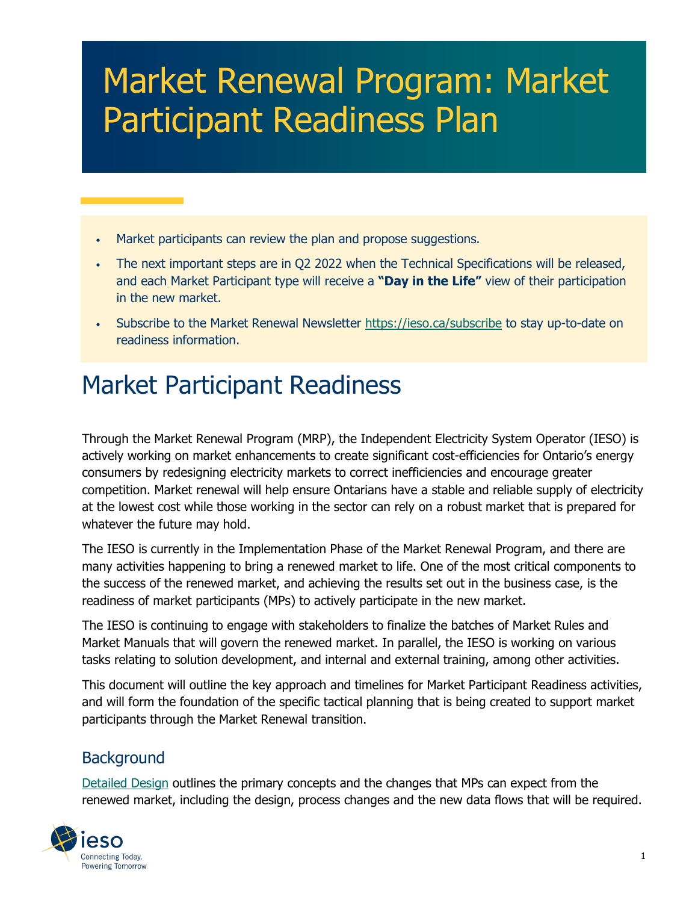# Market Renewal Program: Market Participant Readiness Plan

- Market participants can review the plan and propose suggestions.
- The next important steps are in Q2 2022 when the Technical Specifications will be released, and each Market Participant type will receive a **"Day in the Life"** view of their participation in the new market.
- Subscribe to the Market Renewal Newsletter https://ieso.ca/subscribe to stay up-to-date on readiness information.

## Market Participant Readiness

Through the Market Renewal Program (MRP), the Independent Electricity System Operator (IESO) is actively working on market enhancements to create significant cost-efficiencies for Ontario's energy consumers by redesigning electricity markets to correct inefficiencies and encourage greater competition. Market renewal will help ensure Ontarians have a stable and reliable supply of electricity at the lowest cost while those working in the sector can rely on a robust market that is prepared for whatever the future may hold.

The IESO is currently in the Implementation Phase of the Market Renewal Program, and there are many activities happening to bring a renewed market to life. One of the most critical components to the success of the renewed market, and achieving the results set out in the business case, is the readiness of market participants (MPs) to actively participate in the new market.

The IESO is continuing to engage with stakeholders to finalize the batches of Market Rules and Market Manuals that will govern the renewed market. In parallel, the IESO is working on various tasks relating to solution development, and internal and external training, among other activities.

This document will outline the key approach and timelines for Market Participant Readiness activities, and will form the foundation of the specific tactical planning that is being created to support market participants through the Market Renewal transition.

#### **Background**

[Detailed Design](https://ieso.ca/en/Market-Renewal/Energy-Stream-Designs/Detailed-Design) outlines the primary concepts and the changes that MPs can expect from the renewed market, including the design, process changes and the new data flows that will be required.

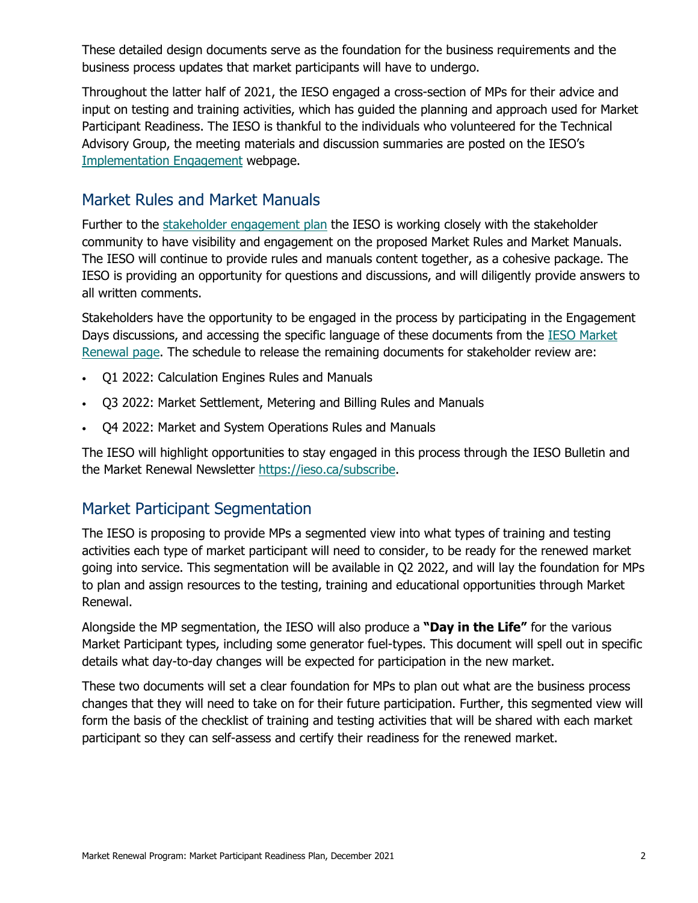These detailed design documents serve as the foundation for the business requirements and the business process updates that market participants will have to undergo.

Throughout the latter half of 2021, the IESO engaged a cross-section of MPs for their advice and input on testing and training activities, which has guided the planning and approach used for Market Participant Readiness. The IESO is thankful to the individuals who volunteered for the Technical Advisory Group, the meeting materials and discussion summaries are posted on the IESO's [Implementation Engagement](https://www.ieso.ca/en/Market-Renewal/Stakeholder-Engagements/Implementation-Engagement-Market-Rules-and-Market-Manuals) webpage.

#### Market Rules and Market Manuals

Further to the [stakeholder engagement plan](https://ieso.ca/-/media/Files/IESO/Document-Library/engage/imrm/imrm-engagement-plan.ashx) the IESO is working closely with the stakeholder community to have visibility and engagement on the proposed Market Rules and Market Manuals. The IESO will continue to provide rules and manuals content together, as a cohesive package. The IESO is providing an opportunity for questions and discussions, and will diligently provide answers to all written comments.

Stakeholders have the opportunity to be engaged in the process by participating in the Engagement Days discussions, and accessing the specific language of these documents from the [IESO Market](https://ieso.ca/en/Market-Renewal/Energy-Stream-Designs/Implementation-phase-documents)  [Renewal page.](https://ieso.ca/en/Market-Renewal/Energy-Stream-Designs/Implementation-phase-documents) The schedule to release the remaining documents for stakeholder review are:

- Q1 2022: Calculation Engines Rules and Manuals
- Q3 2022: Market Settlement, Metering and Billing Rules and Manuals
- Q4 2022: Market and System Operations Rules and Manuals

The IESO will highlight opportunities to stay engaged in this process through the IESO Bulletin and the Market Renewal Newsletter https://ieso.ca/subscribe.

#### Market Participant Segmentation

The IESO is proposing to provide MPs a segmented view into what types of training and testing activities each type of market participant will need to consider, to be ready for the renewed market going into service. This segmentation will be available in Q2 2022, and will lay the foundation for MPs to plan and assign resources to the testing, training and educational opportunities through Market Renewal.

Alongside the MP segmentation, the IESO will also produce a **"Day in the Life"** for the various Market Participant types, including some generator fuel-types. This document will spell out in specific details what day-to-day changes will be expected for participation in the new market.

These two documents will set a clear foundation for MPs to plan out what are the business process changes that they will need to take on for their future participation. Further, this segmented view will form the basis of the checklist of training and testing activities that will be shared with each market participant so they can self-assess and certify their readiness for the renewed market.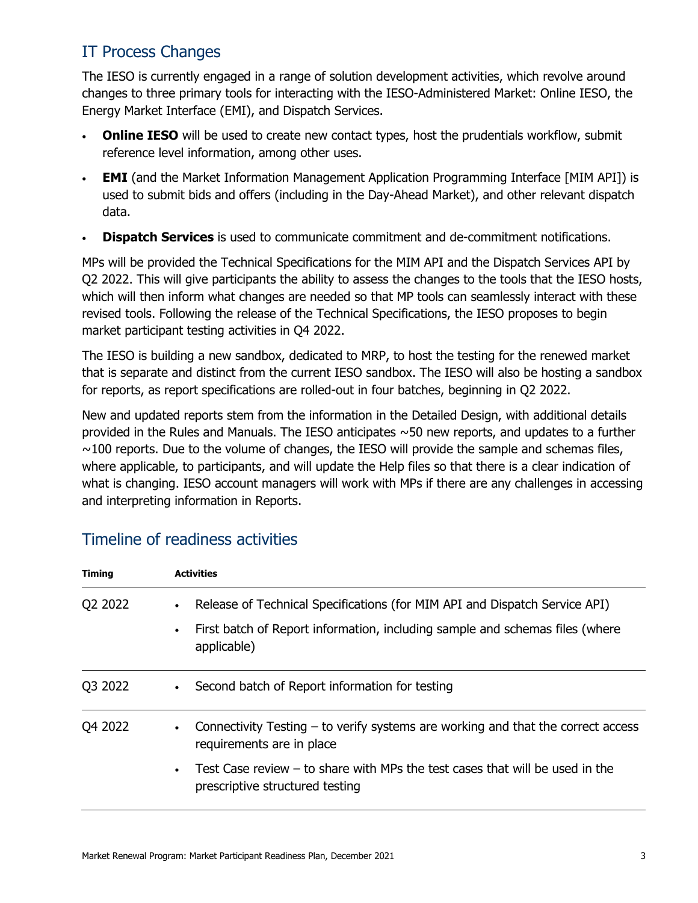### IT Process Changes

The IESO is currently engaged in a range of solution development activities, which revolve around changes to three primary tools for interacting with the IESO-Administered Market: Online IESO, the Energy Market Interface (EMI), and Dispatch Services.

- **Online IESO** will be used to create new contact types, host the prudentials workflow, submit reference level information, among other uses.
- **EMI** (and the Market Information Management Application Programming Interface [MIM API]) is used to submit bids and offers (including in the Day-Ahead Market), and other relevant dispatch data.
- **Dispatch Services** is used to communicate commitment and de-commitment notifications.

MPs will be provided the Technical Specifications for the MIM API and the Dispatch Services API by Q2 2022. This will give participants the ability to assess the changes to the tools that the IESO hosts, which will then inform what changes are needed so that MP tools can seamlessly interact with these revised tools. Following the release of the Technical Specifications, the IESO proposes to begin market participant testing activities in Q4 2022.

The IESO is building a new sandbox, dedicated to MRP, to host the testing for the renewed market that is separate and distinct from the current IESO sandbox. The IESO will also be hosting a sandbox for reports, as report specifications are rolled-out in four batches, beginning in Q2 2022.

New and updated reports stem from the information in the Detailed Design, with additional details provided in the Rules and Manuals. The IESO anticipates ~50 new reports, and updates to a further  $\sim$ 100 reports. Due to the volume of changes, the IESO will provide the sample and schemas files, where applicable, to participants, and will update the Help files so that there is a clear indication of what is changing. IESO account managers will work with MPs if there are any challenges in accessing and interpreting information in Reports.

| <b>Timing</b> | <b>Activities</b>                                                                                                                                                         |
|---------------|---------------------------------------------------------------------------------------------------------------------------------------------------------------------------|
| Q2 2022       | Release of Technical Specifications (for MIM API and Dispatch Service API)<br>First batch of Report information, including sample and schemas files (where<br>applicable) |
| Q3 2022       | Second batch of Report information for testing                                                                                                                            |
| Q4 2022       | Connectivity Testing - to verify systems are working and that the correct access<br>requirements are in place                                                             |
|               | Test Case review $-$ to share with MPs the test cases that will be used in the<br>$\bullet$<br>prescriptive structured testing                                            |

#### Timeline of readiness activities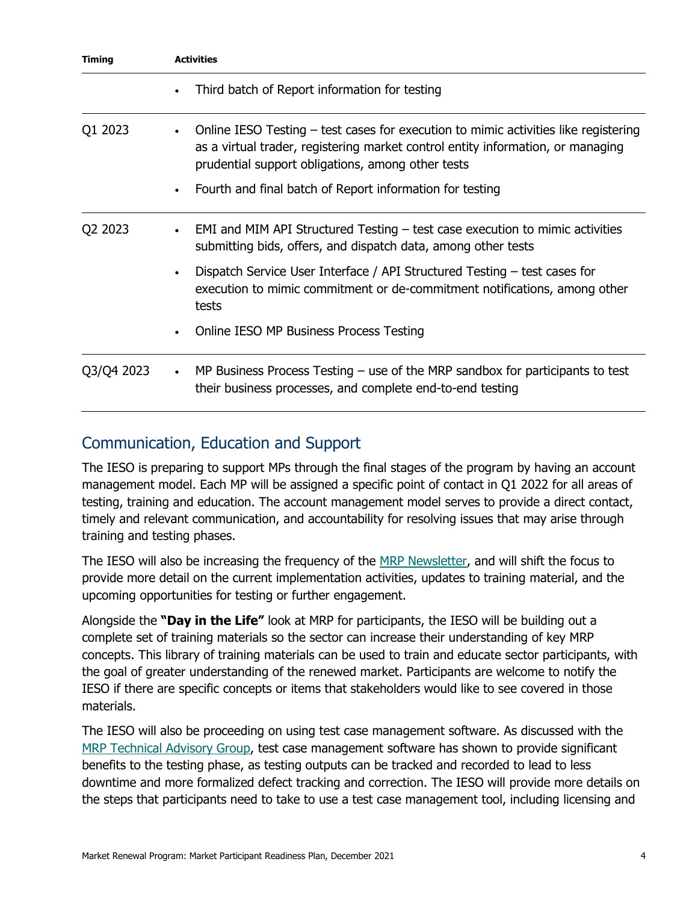| <b>Timing</b> | <b>Activities</b>                                                                                                                                                                                                                        |
|---------------|------------------------------------------------------------------------------------------------------------------------------------------------------------------------------------------------------------------------------------------|
|               | Third batch of Report information for testing<br>$\bullet$                                                                                                                                                                               |
| Q1 2023       | Online IESO Testing – test cases for execution to mimic activities like registering<br>$\bullet$<br>as a virtual trader, registering market control entity information, or managing<br>prudential support obligations, among other tests |
|               | Fourth and final batch of Report information for testing<br>$\bullet$                                                                                                                                                                    |
| Q2 2023       | EMI and MIM API Structured Testing $-$ test case execution to mimic activities<br>$\bullet$<br>submitting bids, offers, and dispatch data, among other tests                                                                             |
|               | Dispatch Service User Interface / API Structured Testing – test cases for<br>$\bullet$<br>execution to mimic commitment or de-commitment notifications, among other<br>tests                                                             |
|               | Online IESO MP Business Process Testing<br>$\bullet$                                                                                                                                                                                     |
| Q3/Q4 2023    | MP Business Process Testing $-$ use of the MRP sandbox for participants to test<br>$\bullet$<br>their business processes, and complete end-to-end testing                                                                                |

#### Communication, Education and Support

The IESO is preparing to support MPs through the final stages of the program by having an account management model. Each MP will be assigned a specific point of contact in Q1 2022 for all areas of testing, training and education. The account management model serves to provide a direct contact, timely and relevant communication, and accountability for resolving issues that may arise through training and testing phases.

The IESO will also be increasing the frequency of the [MRP Newsletter,](https://ieso.ca/en/Market-Renewal/Background/Additional-Market-Renewal-Resources) and will shift the focus to provide more detail on the current implementation activities, updates to training material, and the upcoming opportunities for testing or further engagement.

Alongside the **"Day in the Life"** look at MRP for participants, the IESO will be building out a complete set of training materials so the sector can increase their understanding of key MRP concepts. This library of training materials can be used to train and educate sector participants, with the goal of greater understanding of the renewed market. Participants are welcome to notify the IESO if there are specific concepts or items that stakeholders would like to see covered in those materials.

The IESO will also be proceeding on using test case management software. As discussed with the [MRP Technical Advisory Group,](https://www.ieso.ca/en/Market-Renewal/Stakeholder-Engagements/Implementation-Engagement-Market-Rules-and-Market-Manuals) test case management software has shown to provide significant benefits to the testing phase, as testing outputs can be tracked and recorded to lead to less downtime and more formalized defect tracking and correction. The IESO will provide more details on the steps that participants need to take to use a test case management tool, including licensing and